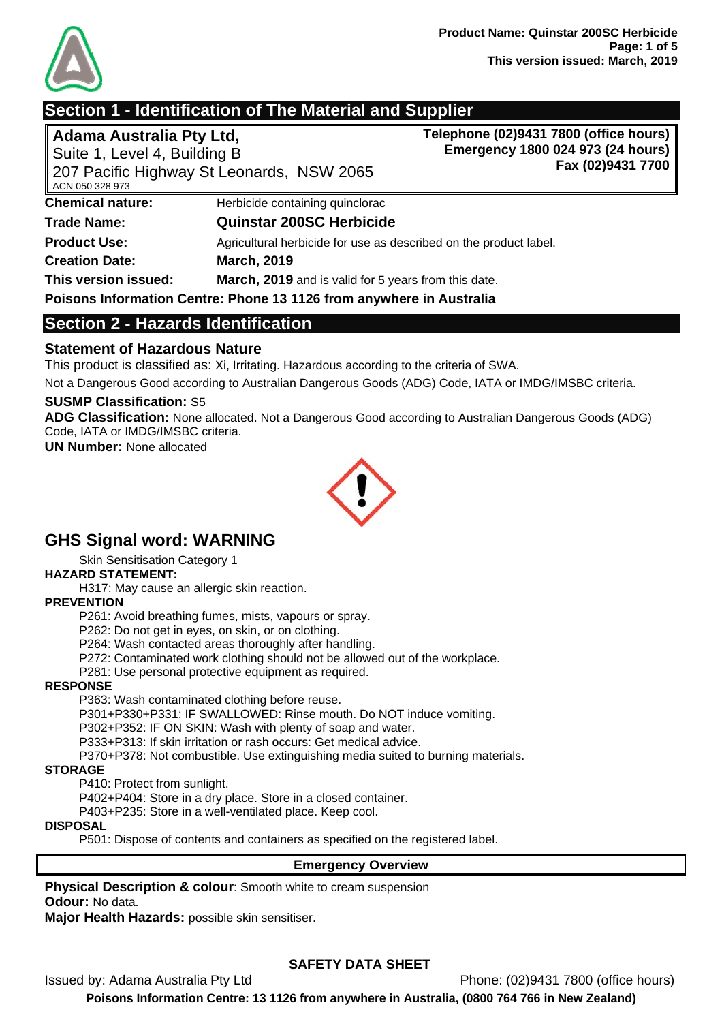

# **Section 1 - Identification of The Material and Supplier**

**Adama Australia Pty Ltd,**  Suite 1, Level 4, Building B **Telephone (02)9431 7800 (office hours) Emergency 1800 024 973 (24 hours) Fax (02)9431 7700**

| 207 Pacific Highway St Leonards, NSW 2065<br>ACN 050 328 973 |                                                                      |  |
|--------------------------------------------------------------|----------------------------------------------------------------------|--|
| <b>Chemical nature:</b>                                      | Herbicide containing quinclorac                                      |  |
| <b>Trade Name:</b>                                           | <b>Quinstar 200SC Herbicide</b>                                      |  |
| <b>Product Use:</b>                                          | Agricultural herbicide for use as described on the product label.    |  |
| <b>Creation Date:</b>                                        | <b>March, 2019</b>                                                   |  |
| This version issued:                                         | March, 2019 and is valid for 5 years from this date.                 |  |
|                                                              | Poisons Information Centre: Phone 13 1126 from anywhere in Australia |  |

# **Section 2 - Hazards Identification**

## **Statement of Hazardous Nature**

This product is classified as: Xi, Irritating. Hazardous according to the criteria of SWA.

Not a Dangerous Good according to Australian Dangerous Goods (ADG) Code, IATA or IMDG/IMSBC criteria.

#### **SUSMP Classification:** S5

**ADG Classification:** None allocated. Not a Dangerous Good according to Australian Dangerous Goods (ADG) Code, IATA or IMDG/IMSBC criteria.

**UN Number:** None allocated



# **GHS Signal word: WARNING**

Skin Sensitisation Category 1

#### **HAZARD STATEMENT:**

H317: May cause an allergic skin reaction.

#### **PREVENTION**

P261: Avoid breathing fumes, mists, vapours or spray.

P262: Do not get in eyes, on skin, or on clothing.

P264: Wash contacted areas thoroughly after handling.

P272: Contaminated work clothing should not be allowed out of the workplace.

P281: Use personal protective equipment as required.

#### **RESPONSE**

P363: Wash contaminated clothing before reuse.

P301+P330+P331: IF SWALLOWED: Rinse mouth. Do NOT induce vomiting.

P302+P352: IF ON SKIN: Wash with plenty of soap and water.

P333+P313: If skin irritation or rash occurs: Get medical advice.

P370+P378: Not combustible. Use extinguishing media suited to burning materials.

#### **STORAGE**

P410: Protect from sunlight.

P402+P404: Store in a dry place. Store in a closed container.

P403+P235: Store in a well-ventilated place. Keep cool.

#### **DISPOSAL**

P501: Dispose of contents and containers as specified on the registered label.

#### **Emergency Overview**

**Physical Description & colour**: Smooth white to cream suspension **Odour:** No data.

**Major Health Hazards:** possible skin sensitiser.

## **SAFETY DATA SHEET**

Issued by: Adama Australia Pty Ltd Phone: (02)9431 7800 (office hours)

**Poisons Information Centre: 13 1126 from anywhere in Australia, (0800 764 766 in New Zealand)**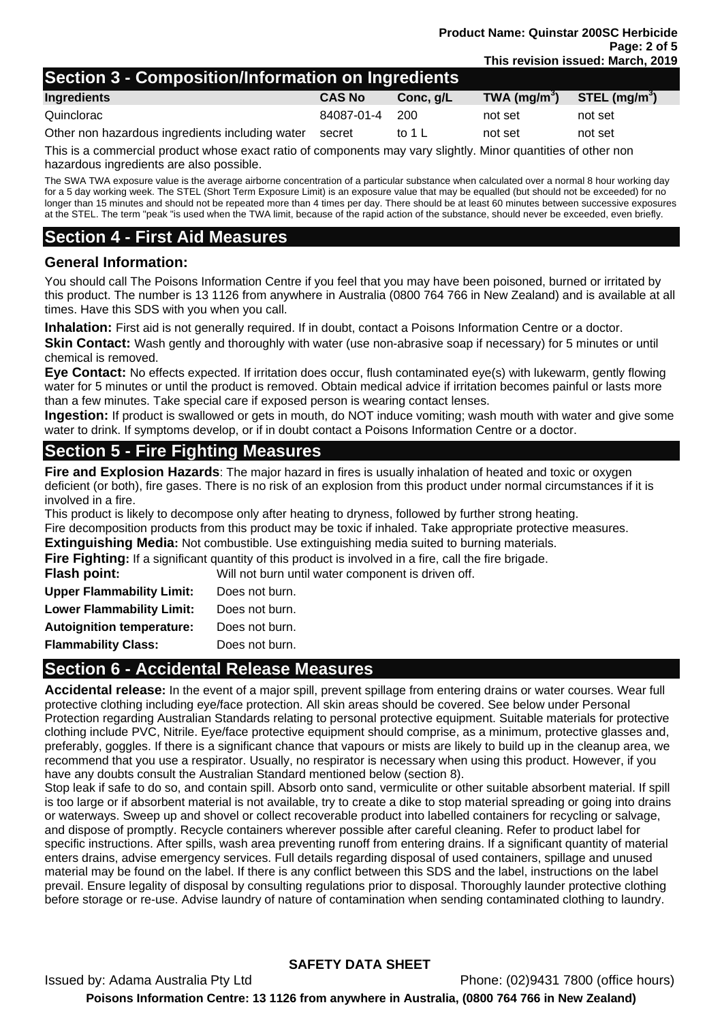# **Section 3 - Composition/Information on Ingredients**

| Ingredients                                     | <b>CAS No</b>  | Conc. q/L | TWA $(mg/m3)$ | STEL (mg/m <sup>3</sup> ) |
|-------------------------------------------------|----------------|-----------|---------------|---------------------------|
| Quinclorac                                      | 84087-01-4 200 |           | not set       | not set                   |
| Other non hazardous ingredients including water | secret         | to 1 L    | not set       | not set                   |

This is a commercial product whose exact ratio of components may vary slightly. Minor quantities of other non hazardous ingredients are also possible.

The SWA TWA exposure value is the average airborne concentration of a particular substance when calculated over a normal 8 hour working day for a 5 day working week. The STEL (Short Term Exposure Limit) is an exposure value that may be equalled (but should not be exceeded) for no longer than 15 minutes and should not be repeated more than 4 times per day. There should be at least 60 minutes between successive exposures at the STEL. The term "peak "is used when the TWA limit, because of the rapid action of the substance, should never be exceeded, even briefly.

# **Section 4 - First Aid Measures**

#### **General Information:**

You should call The Poisons Information Centre if you feel that you may have been poisoned, burned or irritated by this product. The number is 13 1126 from anywhere in Australia (0800 764 766 in New Zealand) and is available at all times. Have this SDS with you when you call.

**Inhalation:** First aid is not generally required. If in doubt, contact a Poisons Information Centre or a doctor. **Skin Contact:** Wash gently and thoroughly with water (use non-abrasive soap if necessary) for 5 minutes or until chemical is removed.

**Eye Contact:** No effects expected. If irritation does occur, flush contaminated eye(s) with lukewarm, gently flowing water for 5 minutes or until the product is removed. Obtain medical advice if irritation becomes painful or lasts more than a few minutes. Take special care if exposed person is wearing contact lenses.

**Ingestion:** If product is swallowed or gets in mouth, do NOT induce vomiting; wash mouth with water and give some water to drink. If symptoms develop, or if in doubt contact a Poisons Information Centre or a doctor.

# **Section 5 - Fire Fighting Measures**

**Fire and Explosion Hazards**: The major hazard in fires is usually inhalation of heated and toxic or oxygen deficient (or both), fire gases. There is no risk of an explosion from this product under normal circumstances if it is involved in a fire.

This product is likely to decompose only after heating to dryness, followed by further strong heating. Fire decomposition products from this product may be toxic if inhaled. Take appropriate protective measures.

**Extinguishing Media:** Not combustible. Use extinguishing media suited to burning materials.

**Fire Fighting:** If a significant quantity of this product is involved in a fire, call the fire brigade.

**Flash point:** Will not burn until water component is driven off.

| Does not burn. |
|----------------|
| Does not burn. |
| Does not burn. |
| Does not burn. |
|                |

# **Section 6 - Accidental Release Measures**

**Accidental release:** In the event of a major spill, prevent spillage from entering drains or water courses. Wear full protective clothing including eye/face protection. All skin areas should be covered. See below under Personal Protection regarding Australian Standards relating to personal protective equipment. Suitable materials for protective clothing include PVC, Nitrile. Eye/face protective equipment should comprise, as a minimum, protective glasses and, preferably, goggles. If there is a significant chance that vapours or mists are likely to build up in the cleanup area, we recommend that you use a respirator. Usually, no respirator is necessary when using this product. However, if you have any doubts consult the Australian Standard mentioned below (section 8).

Stop leak if safe to do so, and contain spill. Absorb onto sand, vermiculite or other suitable absorbent material. If spill is too large or if absorbent material is not available, try to create a dike to stop material spreading or going into drains or waterways. Sweep up and shovel or collect recoverable product into labelled containers for recycling or salvage, and dispose of promptly. Recycle containers wherever possible after careful cleaning. Refer to product label for specific instructions. After spills, wash area preventing runoff from entering drains. If a significant quantity of material enters drains, advise emergency services. Full details regarding disposal of used containers, spillage and unused material may be found on the label. If there is any conflict between this SDS and the label, instructions on the label prevail. Ensure legality of disposal by consulting regulations prior to disposal. Thoroughly launder protective clothing before storage or re-use. Advise laundry of nature of contamination when sending contaminated clothing to laundry.

## **SAFETY DATA SHEET**

Issued by: Adama Australia Pty Ltd Phone: (02)9431 7800 (office hours) **Poisons Information Centre: 13 1126 from anywhere in Australia, (0800 764 766 in New Zealand)**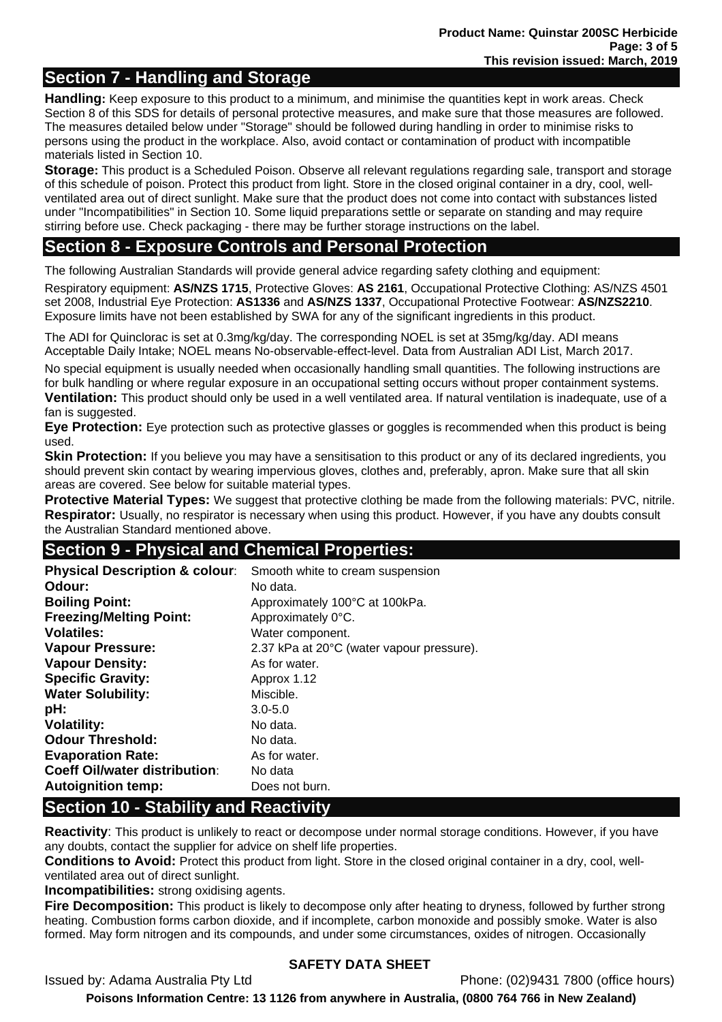# **Section 7 - Handling and Storage**

**Handling:** Keep exposure to this product to a minimum, and minimise the quantities kept in work areas. Check Section 8 of this SDS for details of personal protective measures, and make sure that those measures are followed. The measures detailed below under "Storage" should be followed during handling in order to minimise risks to persons using the product in the workplace. Also, avoid contact or contamination of product with incompatible materials listed in Section 10.

**Storage:** This product is a Scheduled Poison. Observe all relevant regulations regarding sale, transport and storage of this schedule of poison. Protect this product from light. Store in the closed original container in a dry, cool, wellventilated area out of direct sunlight. Make sure that the product does not come into contact with substances listed under "Incompatibilities" in Section 10. Some liquid preparations settle or separate on standing and may require stirring before use. Check packaging - there may be further storage instructions on the label.

# **Section 8 - Exposure Controls and Personal Protection**

The following Australian Standards will provide general advice regarding safety clothing and equipment:

Respiratory equipment: **AS/NZS 1715**, Protective Gloves: **AS 2161**, Occupational Protective Clothing: AS/NZS 4501 set 2008, Industrial Eye Protection: **AS1336** and **AS/NZS 1337**, Occupational Protective Footwear: **AS/NZS2210**. Exposure limits have not been established by SWA for any of the significant ingredients in this product.

The ADI for Quinclorac is set at 0.3mg/kg/day. The corresponding NOEL is set at 35mg/kg/day. ADI means Acceptable Daily Intake; NOEL means No-observable-effect-level. Data from Australian ADI List, March 2017.

No special equipment is usually needed when occasionally handling small quantities. The following instructions are for bulk handling or where regular exposure in an occupational setting occurs without proper containment systems. **Ventilation:** This product should only be used in a well ventilated area. If natural ventilation is inadequate, use of a fan is suggested.

**Eye Protection:** Eye protection such as protective glasses or goggles is recommended when this product is being used.

**Skin Protection:** If you believe you may have a sensitisation to this product or any of its declared ingredients, you should prevent skin contact by wearing impervious gloves, clothes and, preferably, apron. Make sure that all skin areas are covered. See below for suitable material types.

**Protective Material Types:** We suggest that protective clothing be made from the following materials: PVC, nitrile. **Respirator:** Usually, no respirator is necessary when using this product. However, if you have any doubts consult the Australian Standard mentioned above.

# **Section 9 - Physical and Chemical Properties:**

| <b>Physical Description &amp; colour:</b><br>Odour:<br><b>Boiling Point:</b><br><b>Freezing/Melting Point:</b><br><b>Volatiles:</b><br><b>Vapour Pressure:</b><br><b>Vapour Density:</b><br><b>Specific Gravity:</b><br><b>Water Solubility:</b> | Smooth white to cream suspension<br>No data.<br>Approximately 100°C at 100kPa.<br>Approximately 0°C.<br>Water component.<br>2.37 kPa at 20°C (water vapour pressure).<br>As for water.<br>Approx 1.12<br>Miscible. |
|--------------------------------------------------------------------------------------------------------------------------------------------------------------------------------------------------------------------------------------------------|--------------------------------------------------------------------------------------------------------------------------------------------------------------------------------------------------------------------|
| pH:                                                                                                                                                                                                                                              | $3.0 - 5.0$                                                                                                                                                                                                        |
| <b>Volatility:</b>                                                                                                                                                                                                                               | No data.                                                                                                                                                                                                           |
| <b>Odour Threshold:</b>                                                                                                                                                                                                                          | No data.                                                                                                                                                                                                           |
| <b>Evaporation Rate:</b>                                                                                                                                                                                                                         | As for water.                                                                                                                                                                                                      |
| Coeff Oil/water distribution:                                                                                                                                                                                                                    | No data                                                                                                                                                                                                            |
| <b>Autoignition temp:</b><br><b>Contract Contract Contract Contract</b><br>___<br>.                                                                                                                                                              | Does not burn.<br>.                                                                                                                                                                                                |

# **Section 10 - Stability and Reactivity**

**Reactivity**: This product is unlikely to react or decompose under normal storage conditions. However, if you have any doubts, contact the supplier for advice on shelf life properties.

**Conditions to Avoid:** Protect this product from light. Store in the closed original container in a dry, cool, wellventilated area out of direct sunlight.

**Incompatibilities:** strong oxidising agents.

**Fire Decomposition:** This product is likely to decompose only after heating to dryness, followed by further strong heating. Combustion forms carbon dioxide, and if incomplete, carbon monoxide and possibly smoke. Water is also formed. May form nitrogen and its compounds, and under some circumstances, oxides of nitrogen. Occasionally

## **SAFETY DATA SHEET**

Issued by: Adama Australia Pty Ltd Phone: (02)9431 7800 (office hours)

**Poisons Information Centre: 13 1126 from anywhere in Australia, (0800 764 766 in New Zealand)**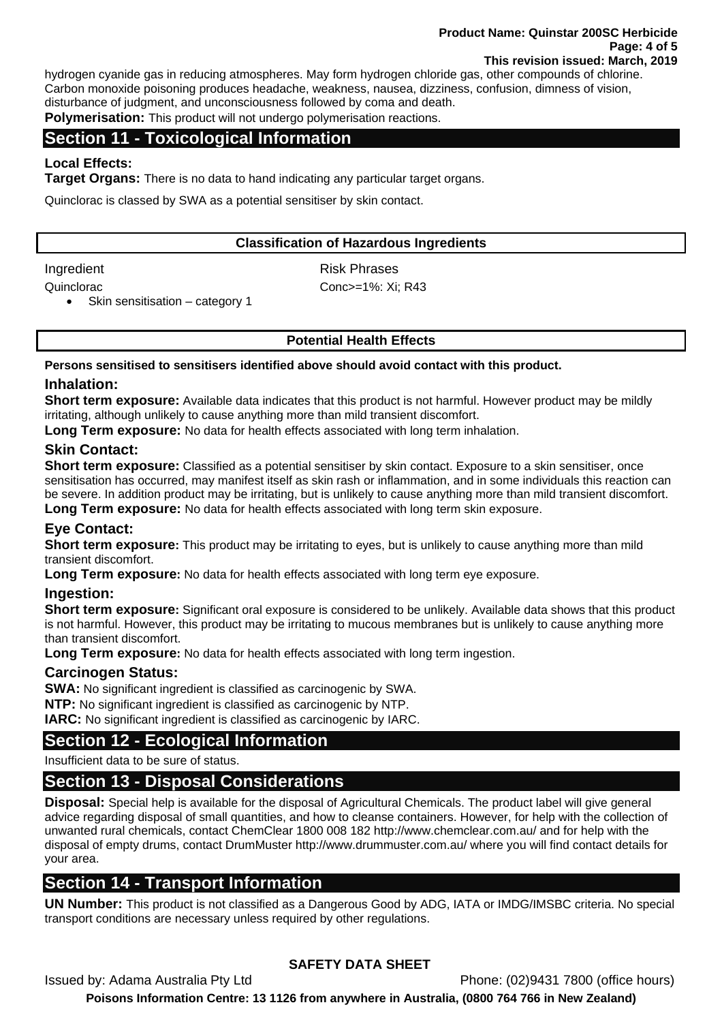hydrogen cyanide gas in reducing atmospheres. May form hydrogen chloride gas, other compounds of chlorine. Carbon monoxide poisoning produces headache, weakness, nausea, dizziness, confusion, dimness of vision, disturbance of judgment, and unconsciousness followed by coma and death.

**Polymerisation:** This product will not undergo polymerisation reactions.

# **Section 11 - Toxicological Information**

## **Local Effects:**

**Target Organs:** There is no data to hand indicating any particular target organs.

Quinclorac is classed by SWA as a potential sensitiser by skin contact.

#### **Classification of Hazardous Ingredients**

Ingredient **Risk Phrases** 

Quinclorac Conc>=1%: Xi; R43

• Skin sensitisation – category 1

## **Potential Health Effects**

**Persons sensitised to sensitisers identified above should avoid contact with this product.** 

#### **Inhalation:**

**Short term exposure:** Available data indicates that this product is not harmful. However product may be mildly irritating, although unlikely to cause anything more than mild transient discomfort.

**Long Term exposure:** No data for health effects associated with long term inhalation.

#### **Skin Contact:**

**Short term exposure:** Classified as a potential sensitiser by skin contact. Exposure to a skin sensitiser, once sensitisation has occurred, may manifest itself as skin rash or inflammation, and in some individuals this reaction can be severe. In addition product may be irritating, but is unlikely to cause anything more than mild transient discomfort. **Long Term exposure:** No data for health effects associated with long term skin exposure.

## **Eye Contact:**

**Short term exposure:** This product may be irritating to eyes, but is unlikely to cause anything more than mild transient discomfort.

**Long Term exposure:** No data for health effects associated with long term eye exposure.

#### **Ingestion:**

**Short term exposure:** Significant oral exposure is considered to be unlikely. Available data shows that this product is not harmful. However, this product may be irritating to mucous membranes but is unlikely to cause anything more than transient discomfort.

**Long Term exposure:** No data for health effects associated with long term ingestion.

## **Carcinogen Status:**

**SWA:** No significant ingredient is classified as carcinogenic by SWA.

**NTP:** No significant ingredient is classified as carcinogenic by NTP.

**IARC:** No significant ingredient is classified as carcinogenic by IARC.

## **Section 12 - Ecological Information**

Insufficient data to be sure of status.

# **Section 13 - Disposal Considerations**

**Disposal:** Special help is available for the disposal of Agricultural Chemicals. The product label will give general advice regarding disposal of small quantities, and how to cleanse containers. However, for help with the collection of unwanted rural chemicals, contact ChemClear 1800 008 182 http://www.chemclear.com.au/ and for help with the disposal of empty drums, contact DrumMuster http://www.drummuster.com.au/ where you will find contact details for your area.

# **Section 14 - Transport Information**

**UN Number:** This product is not classified as a Dangerous Good by ADG, IATA or IMDG/IMSBC criteria. No special transport conditions are necessary unless required by other regulations.

# **SAFETY DATA SHEET**

Issued by: Adama Australia Pty Ltd Phone: (02)9431 7800 (office hours)

**Poisons Information Centre: 13 1126 from anywhere in Australia, (0800 764 766 in New Zealand)**